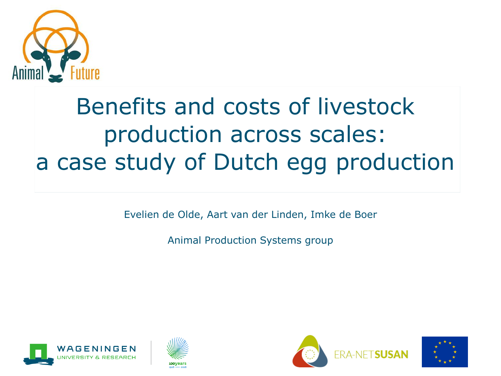

# Benefits and costs of livestock production across scales: a case study of Dutch egg production

Evelien de Olde, Aart van der Linden, Imke de Boer

Animal Production Systems group







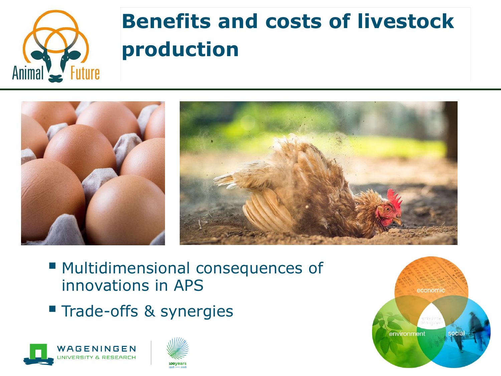

# **Benefits and costs of livestock production**



- Multidimensional consequences of innovations in APS
- **Trade-offs & synergies**





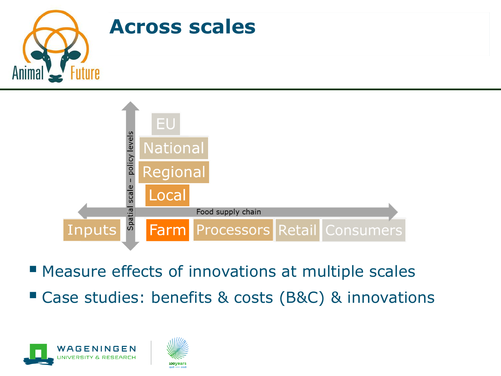



**E** Measure effects of innovations at multiple scales ■ Case studies: benefits & costs (B&C) & innovations



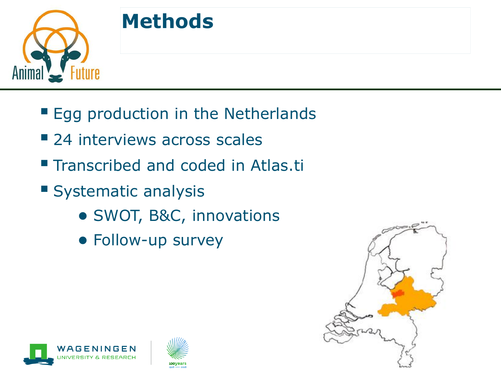

- **Egg production in the Netherlands**
- 24 interviews across scales
- **Transcribed and coded in Atlas.ti**
- **Systematic analysis** 
	- SWOT, B&C, innovations
	- Follow-up survey





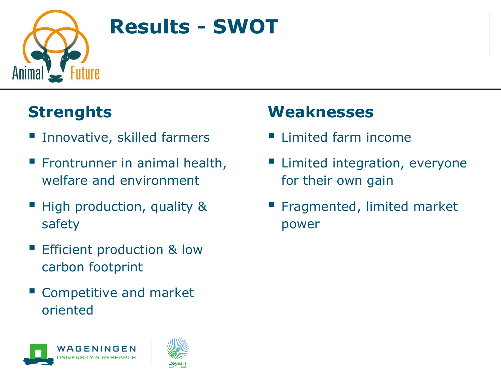

# **Results - SWOT**

### **Strenghts**

- Innovative, skilled farmers
- Frontrunner in animal health, welfare and environment
- High production, quality & safety
- Efficient production & low carbon footprint
- Competitive and market oriented





### **Weaknesses**

- Limited farm income
- Limited integration, everyone for their own gain
- Fragmented, limited market power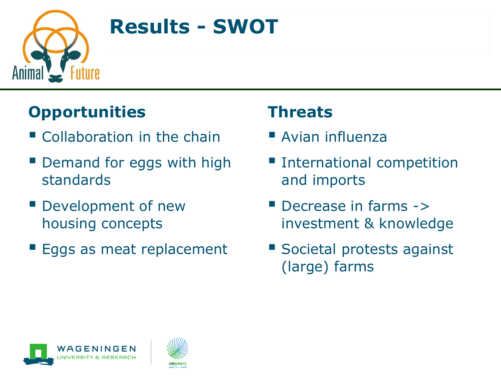

# **Results - SWOT**

### **Opportunities**

- Collaboration in the chain
- Demand for eggs with high standards
- **Development of new** housing concepts
- **Eggs as meat replacement**

### **Threats**

- **E** Avian influenza
- **Exercise International competition** and imports
- Decrease in farms -> investment & knowledge
- Societal protests against (large) farms



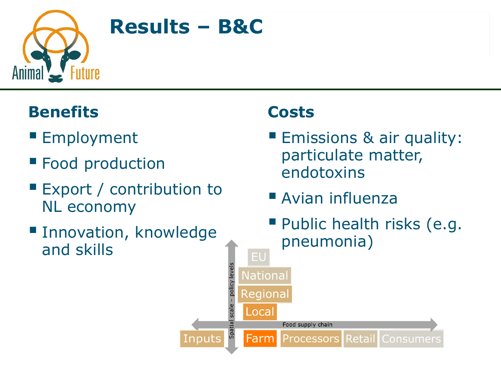

## **Results – B&C**

### **Benefits**

- Employment
- **Food production**
- Export / contribution to NL economy
- **E** Innovation, knowledge and skills

### **Costs**

EU

**National** 

Regional

Food supply chain

Local

Farm

scale - policy levels

Inputs

- Emissions & air quality: particulate matter, endotoxins
- Avian influenza
- **Public health risks (e.g.** pneumonia)

**Processors Retail Consumers**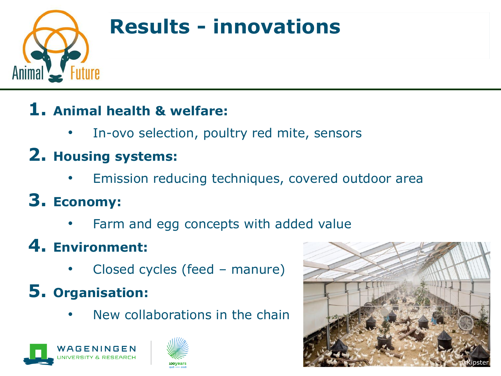

# **Results - innovations**

#### **1. Animal health & welfare:**

• In-ovo selection, poultry red mite, sensors

### **2. Housing systems:**

- Emission reducing techniques, covered outdoor area
- **3. Economy:** 
	- Farm and egg concepts with added value
- **4. Environment:** 
	- Closed cycles (feed manure)
- **5. Organisation:** 
	- New collaborations in the chain





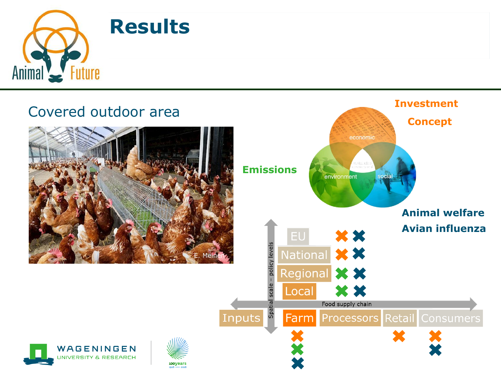

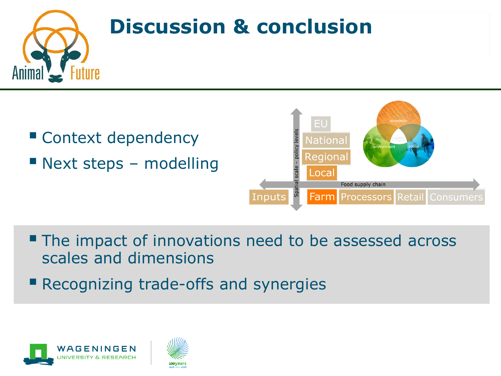

### **Discussion & conclusion**

■ Context dependency **E** Next steps – modelling



- **The impact of innovations need to be assessed across** scales and dimensions
- Recognizing trade-offs and synergies